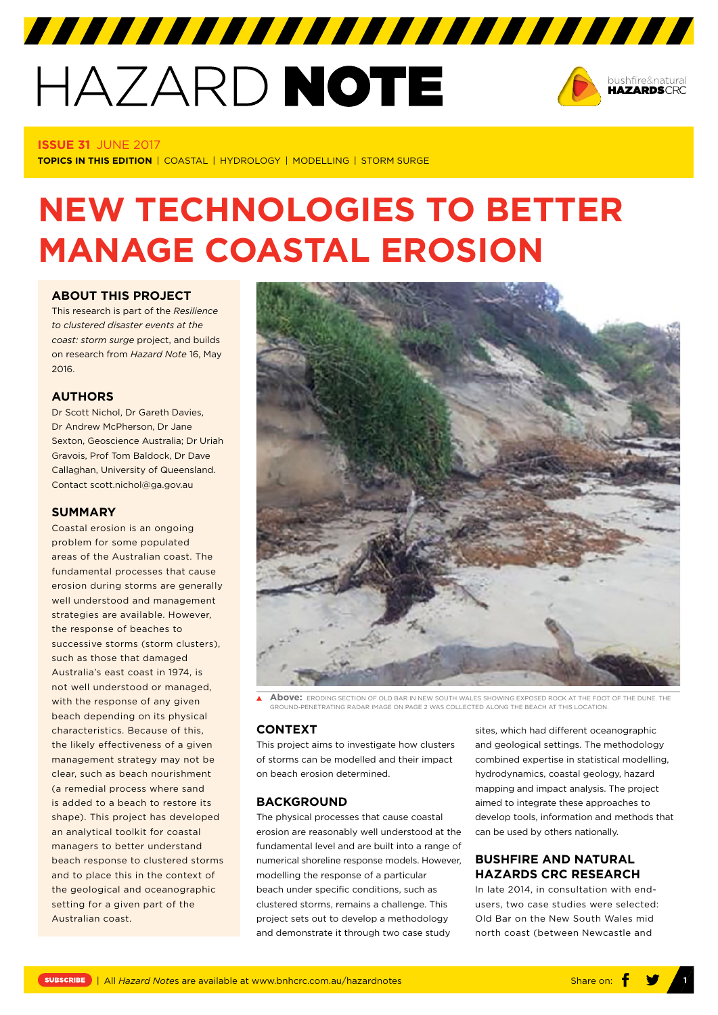# HAZARD NOTE



#### **ISSUE 31** JUNE 2017

**TOPICS IN THIS EDITION** | COASTAL | HYDROLOGY | MODELLING | STORM SURGE

# **NEW TECHNOLOGIES TO BETTER MANAGE COASTAL EROSION**

7777777777777777777777777777777

# **ABOUT THIS PROJECT**

This research is part of the *[Resilience](http://www.bnhcrc.com.au/research/understanding-mitigating-hazards/254)  [to clustered disaster events at the](http://www.bnhcrc.com.au/research/understanding-mitigating-hazards/254)  [coast: storm surge](http://www.bnhcrc.com.au/research/understanding-mitigating-hazards/254)* project, and builds on research from *[Hazard Note](http://www.bnhcrc.com.au/hazardnotes/16)* 16, May 2016.

# **AUTHORS**

Dr Scott Nichol, Dr Gareth Davies, Dr Andrew McPherson, Dr Jane Sexton, Geoscience Australia; Dr Uriah Gravois, Prof Tom Baldock, Dr Dave Callaghan, University of Queensland. Contact scott.nichol@ga.gov.au

#### **SUMMARY**

Coastal erosion is an ongoing problem for some populated areas of the Australian coast. The fundamental processes that cause erosion during storms are generally well understood and management strategies are available. However, the response of beaches to successive storms (storm clusters), such as those that damaged Australia's east coast in 1974, is not well understood or managed, with the response of any given beach depending on its physical characteristics. Because of this, the likely effectiveness of a given management strategy may not be clear, such as beach nourishment (a remedial process where sand is added to a beach to restore its shape). This project has developed an analytical toolkit for coastal managers to better understand beach response to clustered storms and to place this in the context of the geological and oceanographic setting for a given part of the Australian coast.



**Above:** ERODING SECTION OF OLD BAR IN NEW SOUTH WALES SHOWING EXPOSED ROCK AT THE FOOT OF THE DUNE. THE GROUND-PENETRATING RADAR IMAGE ON PAGE 2 WAS COLLECTED ALONG THE BEACH AT THIS LOCATION.

# **CONTEXT**

This project aims to investigate how clusters of storms can be modelled and their impact on beach erosion determined.

# **BACKGROUND**

The physical processes that cause coastal erosion are reasonably well understood at the fundamental level and are built into a range of numerical shoreline response models. However, modelling the response of a particular beach under specific conditions, such as clustered storms, remains a challenge. This project sets out to develop a methodology and demonstrate it through two case study

sites, which had different oceanographic and geological settings. The methodology combined expertise in statistical modelling, hydrodynamics, coastal geology, hazard mapping and impact analysis. The project aimed to integrate these approaches to develop tools, information and methods that can be used by others nationally.

# **BUSHFIRE AND NATURAL HAZARDS CRC RESEARCH**

In late 2014, in consultation with endusers, two case studies were selected: Old Bar on the New South Wales mid north coast (between Newcastle and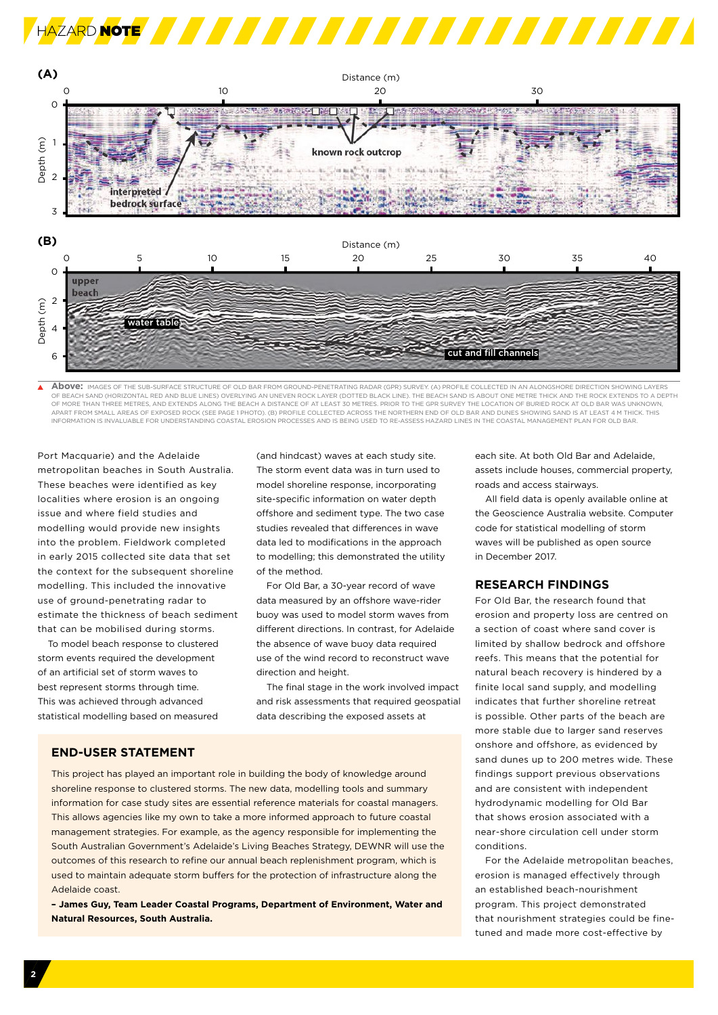



**Above:** IMAGES OF THE SUB-SURFACE STRUCTURE OF OLD BAR FROM GROUND-PENETRATING RADAR (GPR) SURVEY. (A) PROFILE COLLECTED IN AN ALONGSHORE DIRECTION SHOWING LAYERS  $\blacktriangle$ .<br>SAND (HORIZONTAL RED AND BLUE LINES) OVERLYING AN UNEVEN ROCK LAYER (DOTTED BLACK LINE). THE BEACH SAND IS ABOUT ONE METRE THICK AND THE ROCK EXTENDS TO A DEPTH OF MORE THAN THREE METRES, AND EXTENDS ALONG THE BEACH A DISTANCE OF AT LEAST 30 METRES, PRIOR TO THE GPR SURVEY THE LOCATION OF BURIED ROCK AT OLD BAR WAS UNKNOWN .<br>OM SMALL AREAS OF EXPOSED ROCK (SEE PAGE 1 PHOTO). (B) PROFILE COLLECTED ACROSS THE NORTHERN END OF OLD BAR AND DUNES SHOWING SAND IS AT LEAST 4 M TI INFORMATION IS INVALUABLE FOR UNDERSTANDING COASTAL EROSION PROCESSES AND IS BEING USED TO RE-ASSESS HAZARD LINES IN THE COASTAL MANAGEMENT PLAN FOR OLD BAR.

Port Macquarie) and the Adelaide metropolitan beaches in South Australia. These beaches were identified as key localities where erosion is an ongoing issue and where field studies and modelling would provide new insights into the problem. Fieldwork completed in early 2015 collected site data that set the context for the subsequent shoreline modelling. This included the innovative use of ground-penetrating radar to estimate the thickness of beach sediment that can be mobilised during storms.

To model beach response to clustered storm events required the development of an artificial set of storm waves to best represent storms through time. This was achieved through advanced statistical modelling based on measured (and hindcast) waves at each study site. The storm event data was in turn used to model shoreline response, incorporating site-specific information on water depth offshore and sediment type. The two case studies revealed that differences in wave data led to modifications in the approach to modelling; this demonstrated the utility of the method.

For Old Bar, a 30-year record of wave data measured by an offshore wave-rider buoy was used to model storm waves from different directions. In contrast, for Adelaide the absence of wave buoy data required use of the wind record to reconstruct wave direction and height.

The final stage in the work involved impact and risk assessments that required geospatial data describing the exposed assets at

#### **END-USER STATEMENT**

This project has played an important role in building the body of knowledge around shoreline response to clustered storms. The new data, modelling tools and summary information for case study sites are essential reference materials for coastal managers. This allows agencies like my own to take a more informed approach to future coastal management strategies. For example, as the agency responsible for implementing the South Australian Government's Adelaide's Living Beaches Strategy, DEWNR will use the outcomes of this research to refine our annual beach replenishment program, which is used to maintain adequate storm buffers for the protection of infrastructure along the Adelaide coast.

**– James Guy, Team Leader Coastal Programs, Department of Environment, Water and Natural Resources, South Australia.**

each site. At both Old Bar and Adelaide, assets include houses, commercial property, roads and access stairways.

All field data is openly available online at the Geoscience Australia website. Computer code for statistical modelling of storm waves will be published as open source in December 2017.

# **RESEARCH FINDINGS**

For Old Bar, the research found that erosion and property loss are centred on a section of coast where sand cover is limited by shallow bedrock and offshore reefs. This means that the potential for natural beach recovery is hindered by a finite local sand supply, and modelling indicates that further shoreline retreat is possible. Other parts of the beach are more stable due to larger sand reserves onshore and offshore, as evidenced by sand dunes up to 200 metres wide. These findings support previous observations and are consistent with independent hydrodynamic modelling for Old Bar that shows erosion associated with a near-shore circulation cell under storm conditions.

For the Adelaide metropolitan beaches, erosion is managed effectively through an established beach-nourishment program. This project demonstrated that nourishment strategies could be finetuned and made more cost-effective by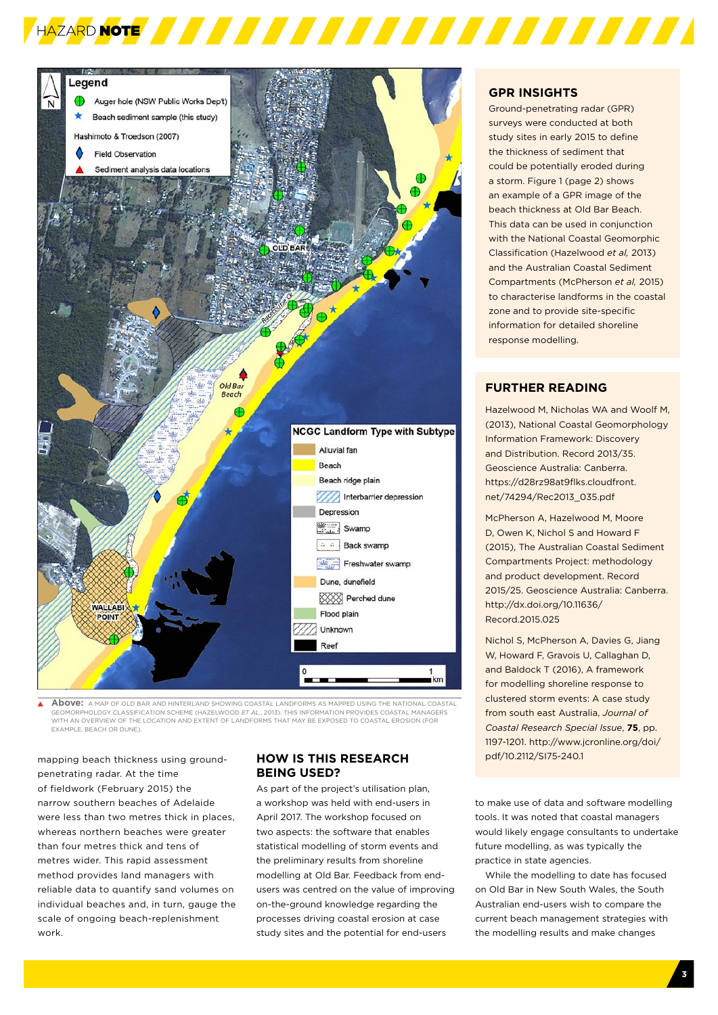

**Above:** A MAP OF OLD BAR AND HINTERLAND SHOWING COASTAL LANDFORMS AS MAPPED USING THE NATIONAL COASTAL GEOMORPHOLOGY CLASSIFICATION SCHEME (HAZELWOOD *ET AL*., 2013). THIS INFORMATION PROVIDES COASTAL MANAGERS WITH AN OVERVIEW OF THE LOCATION AND EXTENT OF LANDFORMS THAT MAY BE EXPOSED TO COASTAL EROSION (FOR EXAMPLE, BEACH OR DUNE).

mapping beach thickness using groundpenetrating radar. At the time of fieldwork (February 2015) the narrow southern beaches of Adelaide were less than two metres thick in places, whereas northern beaches were greater than four metres thick and tens of metres wider. This rapid assessment method provides land managers with reliable data to quantify sand volumes on individual beaches and, in turn, gauge the scale of ongoing beach-replenishment work.

# **HOW IS THIS RESEARCH BEING USED?**

As part of the project's utilisation plan, a workshop was held with end-users in April 2017. The workshop focused on two aspects: the software that enables statistical modelling of storm events and the preliminary results from shoreline modelling at Old Bar. Feedback from endusers was centred on the value of improving on-the-ground knowledge regarding the processes driving coastal erosion at case study sites and the potential for end-users

# **GPR INSIGHTS**

HAZARD NOTE **AND A SA FAIL A SA FAIL A SA FAIL A SA FAIL A SA FAIL A SA FAIL A SA FAIL A SA FAIL A SA FAIL A SA** 

Ground-penetrating radar (GPR) surveys were conducted at both study sites in early 2015 to define the thickness of sediment that could be potentially eroded during a storm. Figure 1 (page 2) shows an example of a GPR image of the beach thickness at Old Bar Beach. This data can be used in conjunction with the National Coastal Geomorphic Classification (Hazelwood *et al,* 2013) and the Australian Coastal Sediment Compartments (McPherson *et al,* 2015) to characterise landforms in the coastal zone and to provide site-specific information for detailed shoreline response modelling.

# **[FURTHER READING](http://www.bnhcrc.com.au/hazardnotes/31)**

Hazelwood M, Nicholas WA and Woolf M, (2013), National Coastal Geomorphology Information Framework: Discovery and Distribution. Record 2013/35. Geoscience Australia: Canberra. [https://d28rz98at9flks.cloudfront.](https://d28rz98at9flks.cloudfront.net/74294/Rec2013_035.pdf) [net/74294/Rec2013\\_035.pdf](https://d28rz98at9flks.cloudfront.net/74294/Rec2013_035.pdf) 

McPherson A, Hazelwood M, Moore D, Owen K, Nichol S and Howard F (2015), The Australian Coastal Sediment Compartments Project: methodology and product development. Record 2015/25. Geoscience Australia: Canberra. [http://dx.doi.org/10.11636/](http://dx.doi.org/10.11636/Record.2015.025) [Record.2015.025](http://dx.doi.org/10.11636/Record.2015.025)

Nichol S, McPherson A, Davies G, Jiang W, Howard F, Gravois U, Callaghan D, and Baldock T (2016), A framework for modelling shoreline response to clustered storm events: A case study from south east Australia, *Journal of Coastal Research Special Issue*, **75**, pp. 1197-1201. [http://www.jcronline.org/doi/](http://www.jcronline.org/doi/pdf/10.2112/SI75-240.1) [pdf/10.2112/SI75-240.1](http://www.jcronline.org/doi/pdf/10.2112/SI75-240.1)

to make use of data and software modelling tools. It was noted that coastal managers would likely engage consultants to undertake future modelling, as was typically the practice in state agencies.

While the modelling to date has focused on Old Bar in New South Wales, the South Australian end-users wish to compare the current beach management strategies with the modelling results and make changes